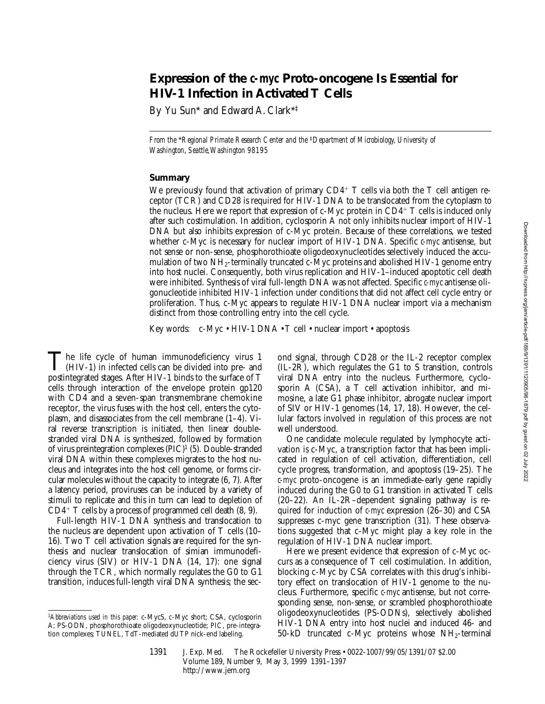# **Expression of the** *c-myc* **Proto-oncogene Is Essential for HIV-1 Infection in Activated T Cells**

By Yu Sun\* and Edward A. Clark\*‡

*From the* \**Regional Primate Research Center and the* ‡*Department of Microbiology, University of Washington, Seattle, Washington 98195*

## **Summary**

We previously found that activation of primary  $CD4^+$  T cells via both the T cell antigen receptor (TCR) and CD28 is required for HIV-1 DNA to be translocated from the cytoplasm to the nucleus. Here we report that expression of c-Myc protein in  $CD4^+$  T cells is induced only after such costimulation. In addition, cyclosporin A not only inhibits nuclear import of HIV-1 DNA but also inhibits expression of c-Myc protein. Because of these correlations, we tested whether c-Myc is necessary for nuclear import of HIV-1 DNA. Specific *c-myc* antisense, but not sense or non-sense, phosphorothioate oligodeoxynucleotides selectively induced the accumulation of two  $NH_2$ -terminally truncated c-Myc proteins and abolished HIV-1 genome entry into host nuclei. Consequently, both virus replication and HIV-1–induced apoptotic cell death were inhibited. Synthesis of viral full-length DNA was not affected. Specific *c-myc* antisense oligonucleotide inhibited HIV-1 infection under conditions that did not affect cell cycle entry or proliferation. Thus, c-Myc appears to regulate HIV-1 DNA nuclear import via a mechanism distinct from those controlling entry into the cell cycle.

Key words: c-Myc • HIV-1 DNA • T cell • nuclear import • apoptosis

The life cycle of human immunodeficiency virus 1<br>  $(HIV-1)$  in infected cells can be divided into pre- and<br>
nextintegrated stages After HIV 1 binds to the surface of T postintegrated stages. After HIV-1 binds to the surface of T cells through interaction of the envelope protein gp120 with CD4 and a seven-span transmembrane chemokine receptor, the virus fuses with the host cell, enters the cytoplasm, and disassociates from the cell membrane (1–4). Viral reverse transcription is initiated, then linear doublestranded viral DNA is synthesized, followed by formation of virus preintegration complexes (PIC)1 (5). Double-stranded viral DNA within these complexes migrates to the host nucleus and integrates into the host cell genome, or forms circular molecules without the capacity to integrate (6, 7). After a latency period, proviruses can be induced by a variety of stimuli to replicate and this in turn can lead to depletion of  $CD4^+$  T cells by a process of programmed cell death  $(8, 9)$ .

Full-length HIV-1 DNA synthesis and translocation to the nucleus are dependent upon activation of T cells (10– 16). Two T cell activation signals are required for the synthesis and nuclear translocation of simian immunodeficiency virus (SIV) or HIV-1 DNA (14, 17): one signal through the TCR, which normally regulates the G0 to G1 transition, induces full-length viral DNA synthesis; the sec-

<sup>1</sup>*Abbreviations used in this paper:* c-MycS, c-Myc short; CSA, cyclosporin A; PS-ODN, phosphorothioate oligodeoxynucleotide; PIC, pre-integration complexes; TUNEL, TdT-mediated dUTP nick-end labeling.

ond signal, through CD28 or the IL-2 receptor complex (IL-2R), which regulates the G1 to S transition, controls viral DNA entry into the nucleus. Furthermore, cyclosporin A (CSA), a T cell activation inhibitor, and mimosine, a late G1 phase inhibitor, abrogate nuclear import of SIV or HIV-1 genomes (14, 17, 18). However, the cellular factors involved in regulation of this process are not well understood.

One candidate molecule regulated by lymphocyte activation is c-Myc, a transcription factor that has been implicated in regulation of cell activation, differentiation, cell cycle progress, transformation, and apoptosis (19–25). The *c-myc* proto-oncogene is an immediate-early gene rapidly induced during the G0 to G1 transition in activated T cells (20–22). An IL-2R–dependent signaling pathway is required for induction of *c-myc* expression (26–30) and CSA suppresses c-myc gene transcription (31). These observations suggested that c-Myc might play a key role in the regulation of HIV-1 DNA nuclear import.

Here we present evidence that expression of c-Myc occurs as a consequence of T cell costimulation. In addition, blocking c-Myc by CSA correlates with this drug's inhibitory effect on translocation of HIV-1 genome to the nucleus. Furthermore, specific *c-myc* antisense, but not corresponding sense, non-sense, or scrambled phosphorothioate oligodeoxynucleotides (PS-ODNs), selectively abolished HIV-1 DNA entry into host nuclei and induced 46- and 50-kD truncated c-Myc proteins whose  $NH<sub>2</sub>$ -terminal

Downloaded from http://rupress.org/jem/article-pdf/189/9/1391/1120905/98-1879.pdf by guest on 02 July 2022 Downloaded from http://rupress.org/jem/article-pdf/189/9/1391/1120905/98-1879.pdf by guest on 02 July 2022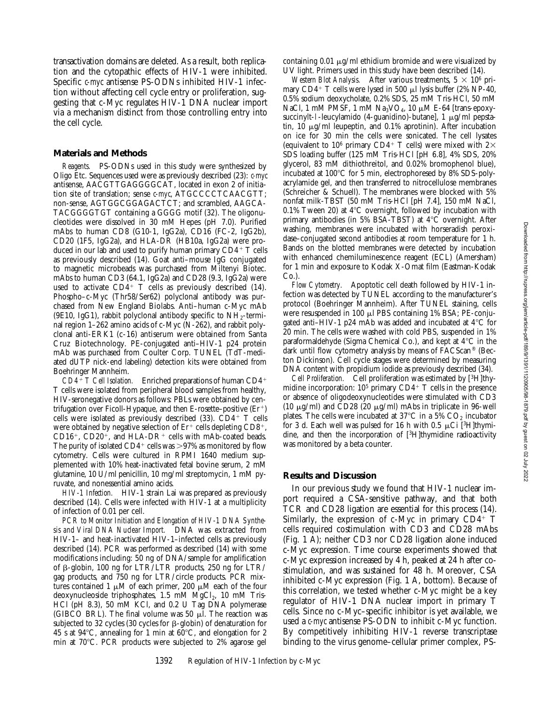transactivation domains are deleted. As a result, both replication and the cytopathic effects of HIV-1 were inhibited. Specific *c-myc* antisense PS-ODNs inhibited HIV-1 infection without affecting cell cycle entry or proliferation, suggesting that c-Myc regulates HIV-1 DNA nuclear import via a mechanism distinct from those controlling entry into the cell cycle.

### **Materials and Methods**

*Reagents.* PS-ODNs used in this study were synthesized by Oligo Etc. Sequences used were as previously described (23): *c-myc* antisense, AACGTTGAGGGGCAT, located in exon 2 of initiation site of translation; sense *c-myc*, ATGCCCCTCAACGTT; non-sense, AGTGGCGGAGACTCT; and scrambled, AAGCA-TACGGGGTGT containing a GGGG motif (32). The oligonucleotides were dissolved in 30 mM Hepes (pH 7.0). Purified mAbs to human CD8 (G10-1, IgG2a), CD16 (FC-2, IgG2b), CD20 (1F5, IgG2a), and HLA-DR (HB10a, IgG2a) were produced in our lab and used to purify human primary  $CD4+T$  cells as previously described (14). Goat anti–mouse IgG conjugated to magnetic microbeads was purchased from Miltenyi Biotec. mAbs to human CD3 (64.1, IgG2a) and CD28 (9.3, IgG2a) were used to activate  $CD4^+$  T cells as previously described (14). Phospho–c-Myc (Thr58/Ser62) polyclonal antibody was purchased from New England Biolabs. Anti–human c-Myc mAb (9E10, IgG1), rabbit polyclonal antibody specific to  $NH<sub>2</sub>$ -terminal region 1–262 amino acids of c-Myc (N-262), and rabbit polyclonal anti-ERK1 (c-16) antiserum were obtained from Santa Cruz Biotechnology. PE-conjugated anti–HIV-1 p24 protein mAb was purchased from Coulter Corp. TUNEL (TdT-mediated dUTP nick-end labeling) detection kits were obtained from Boehringer Mannheim.

 $CD4+T$  *Cell Isolation.* Enriched preparations of human  $CD4+T$ T cells were isolated from peripheral blood samples from healthy, HIV-seronegative donors as follows: PBLs were obtained by centrifugation over Ficoll-Hypaque, and then E-rosette-positive  $(Er<sup>+</sup>)$ cells were isolated as previously described  $(33)$ . CD4+ T cells were obtained by negative selection of  $Er^+$  cells depleting  $CD8^+$ ,  $CD16^+$ ,  $CD20^+$ , and  $HLA-DR^+$  cells with mAb-coated beads. The purity of isolated CD4<sup>+</sup> cells was  $>97\%$  as monitored by flow cytometry. Cells were cultured in RPMI 1640 medium supplemented with 10% heat-inactivated fetal bovine serum, 2 mM glutamine, 10 U/ml penicillin, 10 mg/ml streptomycin, 1 mM pyruvate, and nonessential amino acids.

*HIV-1 Infection.* HIV-1 strain Lai was prepared as previously described (14). Cells were infected with HIV-1 at a multiplicity of infection of 0.01 per cell.

*PCR to Monitor Initiation and Elongation of HIV-1 DNA Synthesis and Viral DNA Nuclear Import.* DNA was extracted from HIV-1– and heat-inactivated HIV-1–infected cells as previously described (14). PCR was performed as described (14) with some modifications including: 50 ng of DNA/sample for amplification of  $\beta$ -globin, 100 ng for LTR/LTR products, 250 ng for LTR/ gag products, and 750 ng for LTR/circle products. PCR mixtures contained 1  $\mu$ M of each primer, 200  $\mu$ M each of the four deoxynucleoside triphosphates,  $1.5$  mM  $MgCl<sub>2</sub>$ ,  $10$  mM Tris-HCl (pH 8.3), 50 mM KCl, and 0.2 U Tag DNA polymerase (GIBCO BRL). The final volume was 50  $\mu$ l. The reaction was subjected to 32 cycles (30 cycles for  $\beta$ -globin) of denaturation for 45 s at 94 $\degree$ C, annealing for 1 min at 60 $\degree$ C, and elongation for 2 min at  $70^{\circ}$ C. PCR products were subjected to 2% agarose gel containing  $0.01 \mu g/ml$  ethidium bromide and were visualized by UV light. Primers used in this study have been described (14).

*Western Blot Analysis.* After various treatments,  $5 \times 10^6$  primary  $CD4^+$  T cells were lysed in 500  $\mu$ l lysis buffer (2% NP-40, 0.5% sodium deoxycholate, 0.2% SDS, 25 mM Tris-HCl, 50 mM NaCl, 1 mM PMSF, 1 mM  $Na<sub>3</sub>VO<sub>4</sub>$ , 10  $\mu$ M E-64 [trans-epoxysuccinylt-l-leucylamido (4-guanidino)-butane],  $1 \mu g/ml$  pepstatin,  $10 \mu g/ml$  leupeptin, and  $0.1\%$  aprotinin). After incubation on ice for 30 min the cells were sonicated. The cell lysates (equivalent to 10<sup>6</sup> primary CD4<sup>+</sup> T cells) were mixed with  $2\times$ SDS loading buffer (125 mM Tris-HCl [pH 6.8], 4% SDS, 20% glycerol, 83 mM dithiothreitol, and 0.02% bromophenol blue), incubated at  $100^{\circ}$ C for 5 min, electrophoresed by 8% SDS-polyacrylamide gel, and then transferred to nitrocellulose membranes (Schreicher & Schuell). The membranes were blocked with 5% nonfat milk-TBST (50 mM Tris-HCl [pH 7.4], 150 mM NaCl, 0.1% Tween 20) at  $4^{\circ}$ C overnight, followed by incubation with primary antibodies (in 5% BSA-TBST) at  $4^{\circ}$ C overnight. After washing, membranes were incubated with horseradish peroxidase–conjugated second antibodies at room temperature for 1 h. Bands on the blotted membranes were detected by incubation with enhanced chemiluminescence reagent (ECL) (Amersham) for 1 min and exposure to Kodak X-Omat film (Eastman-Kodak Co.).

*Flow Cytometry.* Apoptotic cell death followed by HIV-1 infection was detected by TUNEL according to the manufacturer's protocol (Boehringer Mannheim). After TUNEL staining, cells were resuspended in 100  $\mu$ l PBS containing 1% BSA; PE-conjugated anti–HIV-1 p24 mAb was added and incubated at  $4^{\circ}$ C for 20 min. The cells were washed with cold PBS, suspended in 1% paraformaldehyde (Sigma Chemical Co.), and kept at  $4^{\circ}$ C in the dark until flow cytometry analysis by means of FACScan® (Becton Dickinson). Cell cycle stages were determined by measuring DNA content with propidium iodide as previously described (34).

*Cell Proliferation.* Cell proliferation was estimated by [3H]thymidine incorporation:  $10^5$  primary  $CD4^+$  T cells in the presence or absence of oligodeoxynucleotides were stimulated with CD3 (10  $\mu$ g/ml) and CD28 (20  $\mu$ g/ml) mAbs in triplicate in 96-well plates. The cells were incubated at 37°C in a 5%  $CO<sub>2</sub>$  incubator for 3 d. Each well was pulsed for 16 h with 0.5  $\mu$ Ci [<sup>3</sup>H]thymidine, and then the incorporation of [3H]thymidine radioactivity was monitored by a beta counter.

#### **Results and Discussion**

In our previous study we found that HIV-1 nuclear import required a CSA-sensitive pathway, and that both TCR and CD28 ligation are essential for this process (14). Similarly, the expression of c-Myc in primary  $CD4^+$  T cells required costimulation with CD3 and CD28 mAbs (Fig. 1 A); neither CD3 nor CD28 ligation alone induced c-Myc expression. Time course experiments showed that c-Myc expression increased by 4 h, peaked at 24 h after costimulation, and was sustained for 48 h. Moreover, CSA inhibited c-Myc expression (Fig. 1 A, bottom). Because of this correlation, we tested whether c-Myc might be a key regulator of HIV-1 DNA nuclear import in primary T cells. Since no c-Myc–specific inhibitor is yet available, we used a *c-myc* antisense PS-ODN to inhibit c-Myc function. By competitively inhibiting HIV-1 reverse transcriptase binding to the virus genome–cellular primer complex, PS-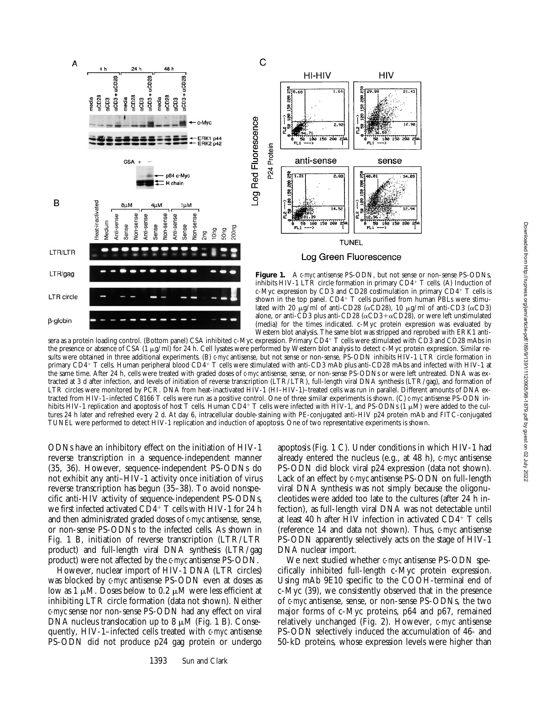

sera as a protein loading control. (Bottom panel) CSA inhibited c-Myc expression. Primary CD4+ T cells were stimulated with CD3 and CD28 mAbs in the presence or absence of CSA (1  $\mu$ g/ml) for 24 h. Cell lysates were performed by Western blot analysis to detect c-Myc protein expression. Similar results were obtained in three additional experiments. (B) *c-myc* antisense, but not sense or non-sense, PS-ODN inhibits HIV-1 LTR circle formation in primary CD4<sup>+</sup> T cells. Human peripheral blood CD4<sup>+</sup> T cells were stimulated with anti-CD3 mAb plus anti-CD28 mAbs and infected with HIV-1 at the same time. After 24 h, cells were treated with graded doses of *c-myc* antisense, sense, or non-sense PS-ODNs or were left untreated. DNA was extracted at 3 d after infection, and levels of initiation of reverse transcription (LTR/LTR), full-length viral DNA synthesis (LTR/gag), and formation of LTR circles were monitored by PCR. DNA from heat-inactivated HIV-1 (HI–HIV-1)–treated cells was run in parallel. Different amounts of DNA extracted from HIV-1–infected C8166 T cells were run as a positive control. One of three similar experiments is shown. (C) *c-myc* antisense PS-ODN inhibits HIV-1 replication and apoptosis of host T cells. Human CD4+ T cells were infected with HIV-1, and PS-ODNs (1  $\mu\dot{M}$ ) were added to the cultures 24 h later and refreshed every 2 d. At day 6, intracellular double-staining with PE-conjugated anti-HIV p24 protein mAb and FITC-conjugated TUNEL were performed to detect HIV-1 replication and induction of apoptosis. One of two representative experiments is shown.

ODNs have an inhibitory effect on the initiation of HIV-1 reverse transcription in a sequence-independent manner (35, 36). However, sequence-independent PS-ODNs do not exhibit any anti–HIV-1 activity once initiation of virus reverse transcription has begun (35–38). To avoid nonspecific anti-HIV activity of sequence-independent PS-ODNs, we first infected activated  $CD4^+$  T cells with HIV-1 for 24 h and then administrated graded doses of *c-myc* antisense, sense, or non-sense PS-ODNs to the infected cells. As shown in Fig. 1 B, initiation of reverse transcription (LTR/LTR product) and full-length viral DNA synthesis (LTR/gag product) were not affected by the *c-myc* antisense PS-ODN.

However, nuclear import of HIV-1 DNA (LTR circles) was blocked by *c-myc* antisense PS-ODN even at doses as low as 1  $\mu$ M. Doses below to 0.2  $\mu$ M were less efficient at inhibiting LTR circle formation (data not shown). Neither *c-myc* sense nor non-sense PS-ODN had any effect on viral DNA nucleus translocation up to 8  $\mu$ M (Fig. 1 B). Consequently, HIV-1–infected cells treated with *c-myc* antisense PS-ODN did not produce p24 gag protein or undergo

apoptosis (Fig. 1 C). Under conditions in which HIV-1 had already entered the nucleus (e.g., at 48 h), *c-myc* antisense PS-ODN did block viral p24 expression (data not shown). Lack of an effect by *c-myc* antisense PS-ODN on full-length viral DNA synthesis was not simply because the oligonucleotides were added too late to the cultures (after 24 h infection), as full-length viral DNA was not detectable until at least 40 h after HIV infection in activated  $CD4^+$  T cells (reference 14 and data not shown). Thus, *c-myc* antisense PS-ODN apparently selectively acts on the stage of HIV-1 DNA nuclear import.

We next studied whether *c-myc* antisense PS-ODN specifically inhibited full-length c-Myc protein expression. Using mAb 9E10 specific to the COOH-terminal end of c-Myc (39), we consistently observed that in the presence of *c-myc* antisense, sense, or non-sense PS-ODNs, the two major forms of c-Myc proteins, p64 and p67, remained relatively unchanged (Fig. 2). However, *c-myc* antisense PS-ODN selectively induced the accumulation of 46- and 50-kD proteins, whose expression levels were higher than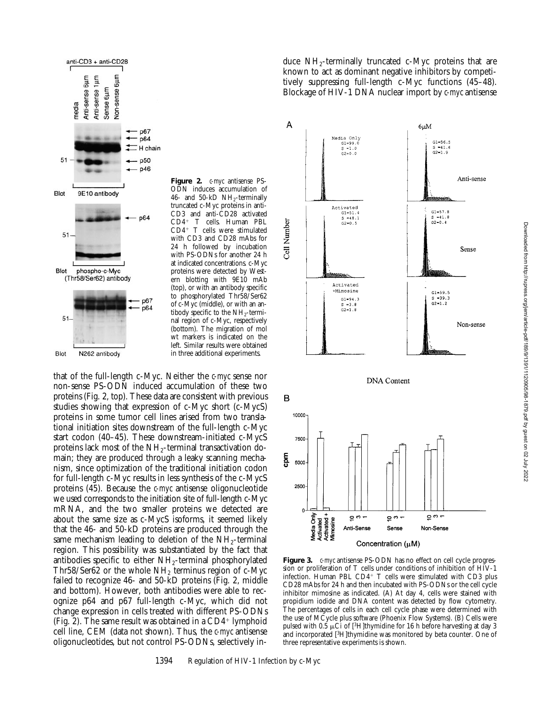

**Figure 2.** *c-myc* antisense PS-ODN induces accumulation of 46- and 50-kD NH<sub>2</sub>-terminally truncated c-Myc proteins in anti-CD3 and anti-CD28 activated CD4<sup>+</sup> T cells. Human PBL  $CD4^+$  T cells were stimulated with CD3 and CD28 mAbs for 24 h followed by incubation with PS-ODNs for another 24 h at indicated concentrations. c-Myc proteins were detected by Western blotting with 9E10 mAb (top), or with an antibody specific to phosphorylated Thr58/Ser62 of c-Myc (middle), or with an antibody specific to the  $NH<sub>2</sub>$ -terminal region of c-Myc, respectively (bottom). The migration of mol wt markers is indicated on the left. Similar results were obtained in three additional experiments.

that of the full-length c-Myc. Neither the *c-myc* sense nor non-sense PS-ODN induced accumulation of these two proteins (Fig. 2, top). These data are consistent with previous studies showing that expression of c-Myc short (c-MycS) proteins in some tumor cell lines arised from two translational initiation sites downstream of the full-length c-Myc start codon (40–45). These downstream-initiated c-MycS proteins lack most of the  $NH<sub>2</sub>$ -terminal transactivation domain; they are produced through a leaky scanning mechanism, since optimization of the traditional initiation codon for full-length c-Myc results in less synthesis of the c-MycS proteins (45). Because the *c-myc* antisense oligonucleotide we used corresponds to the initiation site of full-length c-Myc mRNA, and the two smaller proteins we detected are about the same size as c-MycS isoforms, it seemed likely that the 46- and 50-kD proteins are produced through the same mechanism leading to deletion of the  $NH_2$ -terminal region. This possibility was substantiated by the fact that antibodies specific to either  $NH<sub>2</sub>$ -terminal phosphorylated Thr58/Ser62 or the whole  $NH<sub>2</sub>$  terminus region of c-Myc failed to recognize 46- and 50-kD proteins (Fig. 2, middle and bottom). However, both antibodies were able to recognize p64 and p67 full-length c-Myc, which did not change expression in cells treated with different PS-ODNs (Fig. 2). The same result was obtained in a  $CD4^+$  lymphoid cell line, CEM (data not shown). Thus, the *c-myc* antisense oligonucleotides, but not control PS-ODNs, selectively induce  $NH_2$ -terminally truncated c-Myc proteins that are known to act as dominant negative inhibitors by competitively suppressing full-length c-Myc functions (45–48). Blockage of HIV-1 DNA nuclear import by *c-myc* antisense





**Figure 3.** *c-myc* antisense PS-ODN has no effect on cell cycle progression or proliferation of T cells under conditions of inhibition of HIV-1 infection. Human PBL CD4+ T cells were stimulated with CD3 plus CD28 mAbs for 24 h and then incubated with PS-ODNs or the cell cycle inhibitor mimosine as indicated. (A) At day 4, cells were stained with propidium iodide and DNA content was detected by flow cytometry. The percentages of cells in each cell cycle phase were determined with the use of MCycle plus software (Phoenix Flow Systems). (B) Cells were pulsed with 0.5  $\mu$ Ci of [<sup>3</sup>H]thymidine for 16 h before harvesting at day 3 and incorporated [<sup>3</sup>H]thymidine was monitored by beta counter. One of three representative experiments is shown.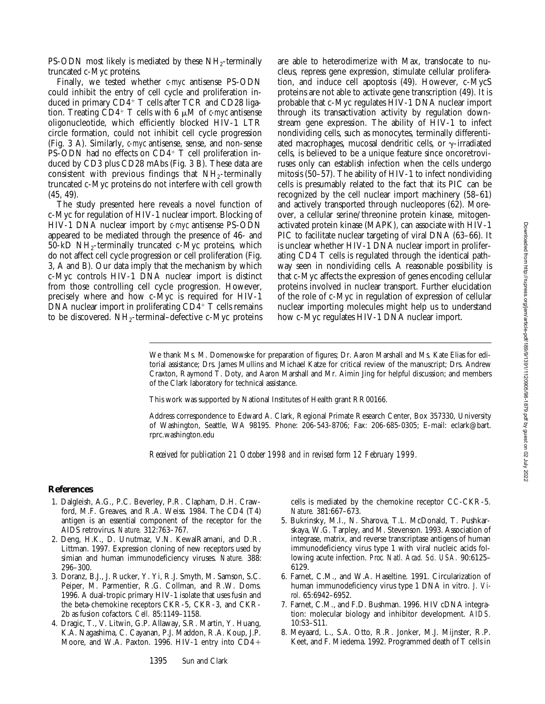PS-ODN most likely is mediated by these  $NH_2$ -terminally truncated c-Myc proteins.

Finally, we tested whether *c-myc* antisense PS-ODN could inhibit the entry of cell cycle and proliferation induced in primary  $CDA^+$  T cells after TCR and CD28 ligation. Treating  $CD4^+$  T cells with 6  $\mu$ M of *c-myc* antisense oligonucleotide, which efficiently blocked HIV-1 LTR circle formation, could not inhibit cell cycle progression (Fig. 3 A). Similarly, *c-myc* antisense, sense, and non-sense PS-ODN had no effects on  $CD4^+$  T cell proliferation induced by CD3 plus CD28 mAbs (Fig. 3 B). These data are consistent with previous findings that  $NH<sub>2</sub>$ -terminally truncated c-Myc proteins do not interfere with cell growth (45, 49).

The study presented here reveals a novel function of c-Myc for regulation of HIV-1 nuclear import. Blocking of HIV-1 DNA nuclear import by *c-myc* antisense PS-ODN appeared to be mediated through the presence of 46- and  $50-kD \ NH_{2}$ -terminally truncated c-Myc proteins, which do not affect cell cycle progression or cell proliferation (Fig. 3, A and B). Our data imply that the mechanism by which c-Myc controls HIV-1 DNA nuclear import is distinct from those controlling cell cycle progression. However, precisely where and how c-Myc is required for HIV-1 DNA nuclear import in proliferating  $CD<sub>4</sub><sup>+</sup>$  T cells remains to be discovered.  $NH_2$ -terminal–defective c-Myc proteins

are able to heterodimerize with Max, translocate to nucleus, repress gene expression, stimulate cellular proliferation, and induce cell apoptosis (49). However, c-MycS proteins are not able to activate gene transcription (49). It is probable that c-Myc regulates HIV-1 DNA nuclear import through its transactivation activity by regulation downstream gene expression. The ability of HIV-1 to infect nondividing cells, such as monocytes, terminally differentiated macrophages, mucosal dendritic cells, or  $\gamma$ -irradiated cells, is believed to be a unique feature since oncoretroviruses only can establish infection when the cells undergo mitosis (50–57). The ability of HIV-1 to infect nondividing cells is presumably related to the fact that its PIC can be recognized by the cell nuclear import machinery (58–61) and actively transported through nucleopores (62). Moreover, a cellular serine/threonine protein kinase, mitogenactivated protein kinase (MAPK), can associate with HIV-1 PIC to facilitate nuclear targeting of viral DNA (63–66). It is unclear whether HIV-1 DNA nuclear import in proliferating CD4 T cells is regulated through the identical pathway seen in nondividing cells. A reasonable possibility is that c-Myc affects the expression of genes encoding cellular proteins involved in nuclear transport. Further elucidation of the role of c-Myc in regulation of expression of cellular nuclear importing molecules might help us to understand how c-Myc regulates HIV-1 DNA nuclear import.

We thank Ms. M. Domenowske for preparation of figures; Dr. Aaron Marshall and Ms. Kate Elias for editorial assistance; Drs. James Mullins and Michael Katze for critical review of the manuscript; Drs. Andrew Craxton, Raymond T. Doty, and Aaron Marshall and Mr. Aimin Jing for helpful discussion; and members of the Clark laboratory for technical assistance.

This work was supported by National Institutes of Health grant RR00166.

Address correspondence to Edward A. Clark, Regional Primate Research Center, Box 357330, University of Washington, Seattle, WA 98195. Phone: 206-543-8706; Fax: 206-685-0305; E-mail: eclark@bart. rprc.washington.edu

*Received for publication 21 October 1998 and in revised form 12 February 1999.*

#### **References**

- 1. Dalgleish, A.G., P.C. Beverley, P.R. Clapham, D.H. Crawford, M.F. Greaves, and R.A. Weiss. 1984. The CD4 (T4) antigen is an essential component of the receptor for the AIDS retrovirus. *Nature.* 312:763–767.
- 2. Deng, H.K., D. Unutmaz, V.N. KewalRamani, and D.R. Littman. 1997. Expression cloning of new receptors used by simian and human immunodeficiency viruses. *Nature.* 388: 296–300.
- 3. Doranz, B.J., J. Rucker, Y. Yi, R.J. Smyth, M. Samson, S.C. Peiper, M. Parmentier, R.G. Collman, and R.W. Doms. 1996. A dual-tropic primary HIV-1 isolate that uses fusin and the beta-chemokine receptors CKR-5, CKR-3, and CKR-2b as fusion cofactors. *Cell.* 85:1149–1158.
- 4. Dragic, T., V. Litwin, G.P. Allaway, S.R. Martin, Y. Huang, K.A. Nagashima, C. Cayanan, P.J. Maddon, R.A. Koup, J.P. Moore, and W.A. Paxton. 1996. HIV-1 entry into  $CD4+$

cells is mediated by the chemokine receptor CC-CKR-5. *Nature.* 381:667–673.

- 5. Bukrinsky, M.I., N. Sharova, T.L. McDonald, T. Pushkarskaya, W.G. Tarpley, and M. Stevenson. 1993. Association of integrase, matrix, and reverse transcriptase antigens of human immunodeficiency virus type 1 with viral nucleic acids following acute infection. *Proc. Natl. Acad. Sci. USA.* 90:6125– 6129.
- 6. Farnet, C.M., and W.A. Haseltine. 1991. Circularization of human immunodeficiency virus type 1 DNA in vitro. *J. Virol.* 65:6942–6952.
- 7. Farnet, C.M., and F.D. Bushman. 1996. HIV cDNA integration: molecular biology and inhibitor development. *AIDS.* 10:S3–S11.
- 8. Meyaard, L., S.A. Otto, R.R. Jonker, M.J. Mijnster, R.P. Keet, and F. Miedema. 1992. Programmed death of T cells in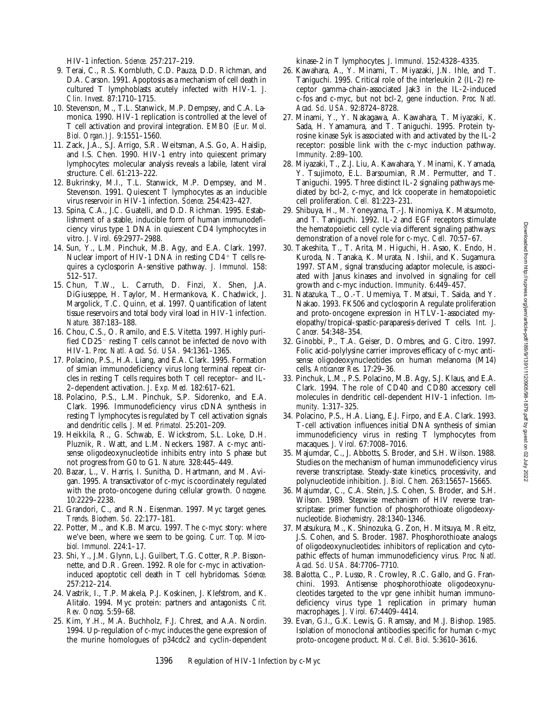cell proliferation. *Cell.* 81:223–231. 29. Shibuya, H., M. Yoneyama, T.-J. Ninomiya, K. Matsumoto, and T. Taniguchi. 1992. IL-2 and EGF receptors stimulate the hematopoietic cell cycle via different signaling pathways: demonstration of a novel role for c-myc. *Cell.* 70:57–67.

*Acad. Sci. USA.* 92:8724–8728.

*Immunity.* 2:89–100.

30. Takeshita, T., T. Arita, M. Higuchi, H. Asao, K. Endo, H. Kuroda, N. Tanaka, K. Murata, N. Ishii, and K. Sugamura. 1997. STAM, signal transducing adaptor molecule, is associated with Janus kinases and involved in signaling for cell growth and c-myc induction. *Immunity.* 6:449–457.

31. Natazuka, T., O.-T. Umemiya, T. Matsui, T. Saida, and Y. Nakao. 1993. FK506 and cyclosporin A regulate proliferation and proto-oncogene expression in HTLV-1-associated myelopathy/tropical-spastic-paraparesis-derived T cells. *Int. J. Cancer.* 54:348–354.

32. Ginobbi, P., T.A. Geiser, D. Ombres, and G. Citro. 1997. Folic acid-polylysine carrier improves efficacy of c-myc antisense oligodeoxynucleotides on human melanoma (M14) cells. *Anticancer Res.* 17:29–36.

33. Pinchuk, L.M., P.S. Polacino, M.B. Agy, S.J. Klaus, and E.A. Clark. 1994. The role of CD40 and CD80 accessory cell molecules in dendritic cell-dependent HIV-1 infection. *Immunity.* 1:317–325.

34. Polacino, P.S., H.A. Liang, E.J. Firpo, and E.A. Clark. 1993. T-cell activation influences initial DNA synthesis of simian immunodeficiency virus in resting T lymphocytes from macaques. *J. Virol.* 67:7008–7016.

35. Majumdar, C., J. Abbotts, S. Broder, and S.H. Wilson. 1988. Studies on the mechanism of human immunodeficiency virus reverse transcriptase. Steady-state kinetics, processivity, and polynucleotide inhibition. *J. Biol. Chem.* 263:15657–15665.

36. Majumdar, C., C.A. Stein, J.S. Cohen, S. Broder, and S.H. Wilson. 1989. Stepwise mechanism of HIV reverse transcriptase: primer function of phosphorothioate oligodeoxynucleotide. *Biochemistry.* 28:1340–1346.

37. Matsukura, M., K. Shinozuka, G. Zon, H. Mitsuya, M. Reitz, J.S. Cohen, and S. Broder. 1987. Phosphorothioate analogs of oligodeoxynucleotides: inhibitors of replication and cytopathic effects of human immunodeficiency virus. *Proc. Natl. Acad. Sci. USA.* 84:7706–7710.

38. Balotta, C., P. Lusso, R. Crowley, R.C. Gallo, and G. Franchini. 1993. Antisense phosphorothioate oligodeoxynucleotides targeted to the vpr gene inhibit human immunodeficiency virus type 1 replication in primary human macrophages. *J. Virol.* 67:4409–4414.

39. Evan, G.I., G.K. Lewis, G. Ramsay, and M.J. Bishop. 1985. Isolation of monoclonal antibodies specific for human c-myc proto-oncogene product. *Mol. Cell. Biol.* 5:3610–3616.

HIV-1 infection. *Science.* 257:217–219.

- 9. Terai, C., R.S. Kornbluth, C.D. Pauza, D.D. Richman, and D.A. Carson. 1991. Apoptosis as a mechanism of cell death in cultured T lymphoblasts acutely infected with HIV-1. *J. Clin. Invest.* 87:1710–1715.
- 10. Stevenson, M., T.L. Stanwick, M.P. Dempsey, and C.A. Lamonica. 1990. HIV-1 replication is controlled at the level of T cell activation and proviral integration. *EMBO (Eur. Mol. Biol. Organ.) J.* 9:1551–1560.
- 11. Zack, J.A., S.J. Arrigo, S.R. Weitsman, A.S. Go, A. Haislip, and I.S. Chen. 1990. HIV-1 entry into quiescent primary lymphocytes: molecular analysis reveals a labile, latent viral structure. *Cell.* 61:213–222.
- 12. Bukrinsky, M.I., T.L. Stanwick, M.P. Dempsey, and M. Stevenson. 1991. Quiescent T lymphocytes as an inducible virus reservoir in HIV-1 infection. *Science.* 254:423–427.
- 13. Spina, C.A., J.C. Guatelli, and D.D. Richman. 1995. Establishment of a stable, inducible form of human immunodeficiency virus type 1 DNA in quiescent CD4 lymphocytes in vitro. *J. Virol.* 69:2977–2988.
- 14. Sun, Y., L.M. Pinchuk, M.B. Agy, and E.A. Clark. 1997. Nuclear import of HIV-1 DNA in resting  $CD4^+$  T cells requires a cyclosporin A-sensitive pathway. *J. Immunol.* 158: 512–517.
- 15. Chun, T.W., L. Carruth, D. Finzi, X. Shen, J.A. DiGiuseppe, H. Taylor, M. Hermankova, K. Chadwick, J. Margolick, T.C. Quinn, et al. 1997. Quantification of latent tissue reservoirs and total body viral load in HIV-1 infection. *Nature.* 387:183–188.
- 16. Chou, C.S., O. Ramilo, and E.S. Vitetta. 1997. Highly purified CD25<sup>-</sup> resting T cells cannot be infected de novo with HIV-1. *Proc. Natl. Acad. Sci. USA.* 94:1361–1365.
- 17. Polacino, P.S., H.A. Liang, and E.A. Clark. 1995. Formation of simian immunodeficiency virus long terminal repeat circles in resting T cells requires both T cell receptor– and IL-2–dependent activation. *J. Exp. Med.* 182:617–621.
- 18. Polacino, P.S., L.M. Pinchuk, S.P. Sidorenko, and E.A. Clark. 1996. Immunodeficiency virus cDNA synthesis in resting T lymphocytes is regulated by T cell activation signals and dendritic cells. *J. Med. Primatol.* 25:201–209.
- 19. Heikkila, R., G. Schwab, E. Wickstrom, S.L. Loke, D.H. Pluznik, R. Watt, and L.M. Neckers. 1987. A c-myc antisense oligodeoxynucleotide inhibits entry into S phase but not progress from G0 to G1. *Nature.* 328:445–449.
- 20. Bazar, L., V. Harris, I. Sunitha, D. Hartmann, and M. Avigan. 1995. A transactivator of c-myc is coordinately regulated with the proto-oncogene during cellular growth. *Oncogene.* 10:2229–2238.
- 21. Grandori, C., and R.N. Eisenman. 1997. Myc target genes. *Trends. Biochem. Sci.* 22:177–181.
- 22. Potter, M., and K.B. Marcu. 1997. The c-myc story: where we've been, where we seem to be going. *Curr. Top. Microbiol. Immunol.* 224:1–17.
- 23. Shi, Y., J.M. Glynn, L.J. Guilbert, T.G. Cotter, R.P. Bissonnette, and D.R. Green. 1992. Role for c-myc in activationinduced apoptotic cell death in T cell hybridomas. *Science.* 257:212–214.
- 24. Vastrik, I., T.P. Makela, P.J. Koskinen, J. Klefstrom, and K. Alitalo. 1994. Myc protein: partners and antagonists. *Crit. Rev. Oncog.* 5:59–68.
- 25. Kim, Y.H., M.A. Buchholz, F.J. Chrest, and A.A. Nordin. 1994. Up-regulation of c-myc induces the gene expression of the murine homologues of p34cdc2 and cyclin-dependent